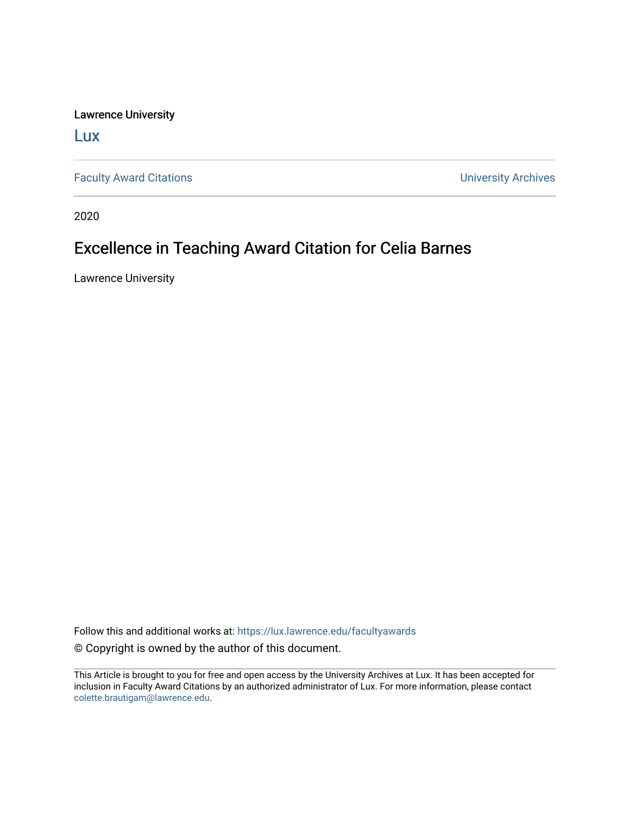Lawrence University

[Lux](https://lux.lawrence.edu/)

[Faculty Award Citations](https://lux.lawrence.edu/facultyawards) **Example 2018** 2019 12:30 Number 2019 12:30 Number 2019 12:30 Number 2019 12:30 Number 2019 12:30 Number 2019 12:30 Number 2019 12:30 Number 2019 12:30 Number 2019 12:30 Number 2019 12:30 Number 201

2020

## Excellence in Teaching Award Citation for Celia Barnes

Lawrence University

Follow this and additional works at: [https://lux.lawrence.edu/facultyawards](https://lux.lawrence.edu/facultyawards?utm_source=lux.lawrence.edu%2Ffacultyawards%2F222&utm_medium=PDF&utm_campaign=PDFCoverPages)  © Copyright is owned by the author of this document.

This Article is brought to you for free and open access by the University Archives at Lux. It has been accepted for inclusion in Faculty Award Citations by an authorized administrator of Lux. For more information, please contact [colette.brautigam@lawrence.edu.](mailto:colette.brautigam@lawrence.edu)